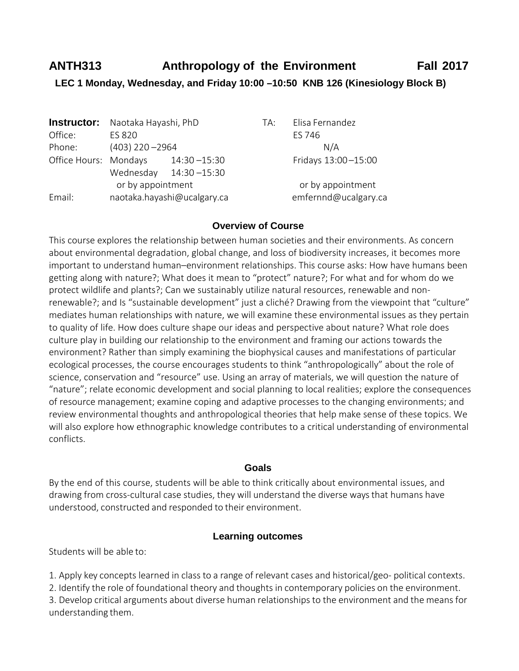# **ANTH313 Anthropology of the Environment Fall 2017 LEC 1 Monday, Wednesday, and Friday 10:00 –10:50 KNB 126 (Kinesiology Block B)**

|                       | <b>Instructor:</b> Naotaka Hayashi, PhD |                             | TA:                 | Elisa Fernandez      |  |  |
|-----------------------|-----------------------------------------|-----------------------------|---------------------|----------------------|--|--|
| Office:               | ES 820                                  |                             |                     | ES 746               |  |  |
| Phone:                | $(403)$ 220 -2964                       |                             |                     | N/A                  |  |  |
| Office Hours: Mondays |                                         | $14:30 - 15:30$             | Fridays 13:00-15:00 |                      |  |  |
|                       |                                         | Wednesday 14:30-15:30       |                     |                      |  |  |
|                       | or by appointment                       |                             |                     | or by appointment    |  |  |
| Email:                |                                         | naotaka.hayashi@ucalgary.ca |                     | emfernnd@ucalgary.ca |  |  |

## **Overview of Course**

This course explores the relationship between human societies and their environments. As concern about environmental degradation, global change, and loss of biodiversity increases, it becomes more important to understand human–environment relationships. This course asks: How have humans been getting along with nature?; What does it mean to "protect" nature?; For what and for whom do we protect wildlife and plants?; Can we sustainably utilize natural resources, renewable and nonrenewable?; and Is "sustainable development" just a cliché? Drawing from the viewpoint that "culture" mediates human relationships with nature, we will examine these environmental issues as they pertain to quality of life. How does culture shape our ideas and perspective about nature? What role does culture play in building our relationship to the environment and framing our actions towards the environment? Rather than simply examining the biophysical causes and manifestations of particular ecological processes, the course encourages students to think "anthropologically" about the role of science, conservation and "resource" use. Using an array of materials, we will question the nature of "nature"; relate economic development and social planning to local realities; explore the consequences of resource management; examine coping and adaptive processes to the changing environments; and review environmental thoughts and anthropological theories that help make sense of these topics. We will also explore how ethnographic knowledge contributes to a critical understanding of environmental conflicts.

#### **Goals**

By the end of this course, students will be able to think critically about environmental issues, and drawing from cross-cultural case studies, they will understand the diverse waysthat humans have understood, constructed and responded to their environment.

#### **Learning outcomes**

Students will be able to:

1. Apply key concepts learned in class to a range of relevant cases and historical/geo- political contexts.

2. Identify the role of foundational theory and thoughts in contemporary policies on the environment.

3. Develop critical arguments about diverse human relationships to the environment and the means for understanding them.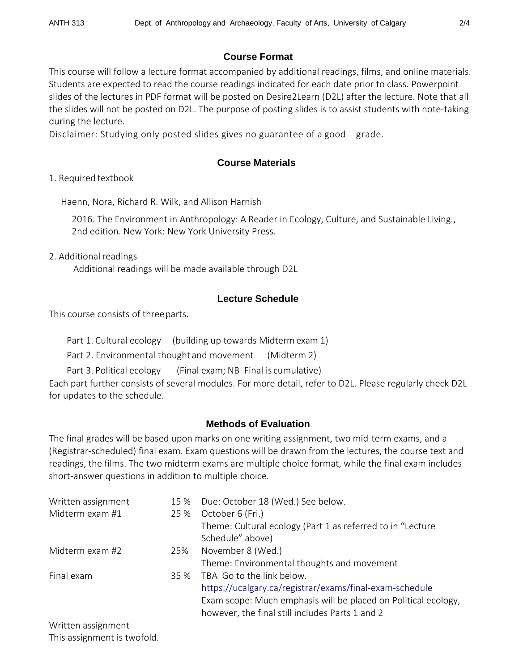#### **Course Format**

This course will follow a lecture format accompanied by additional readings, films, and online materials. Students are expected to read the course readings indicated for each date prior to class. Powerpoint slides of the lectures in PDF format will be posted on Desire2Learn (D2L) after the lecture. Note that all the slides will not be posted on D2L. The purpose of posting slides is to assist students with note-taking during the lecture.

Disclaimer: Studying only posted slides gives no guarantee of a good grade.

# **Course Materials**

1. Required textbook

Haenn, Nora, Richard R. Wilk, and Allison Harnish

2016. The Environment in Anthropology: A Reader in Ecology, Culture, and Sustainable Living., 2nd edition. New York: New York University Press.

2. Additional readings

Additional readings will be made available through D2L

# **Lecture Schedule**

This course consists of threeparts.

Part 1. Cultural ecology (building up towards Midtermexam 1)

Part 2. Environmental thought and movement (Midterm 2)

Part 3. Political ecology (Final exam; NB Final is cumulative)

Each part further consists of several modules. For more detail, refer to D2L. Please regularly check D2L for updates to the schedule.

## **Methods of Evaluation**

The final grades will be based upon marks on one writing assignment, two mid-term exams, and a (Registrar-scheduled) final exam. Exam questions will be drawn from the lectures, the course text and readings, the films. The two midterm exams are multiple choice format, while the final exam includes short-answer questions in addition to multiple choice.

| Written assignment |      | 15 % Due: October 18 (Wed.) See below.                         |
|--------------------|------|----------------------------------------------------------------|
| Midterm exam #1    | 25 % | October 6 (Fri.)                                               |
|                    |      | Theme: Cultural ecology (Part 1 as referred to in "Lecture     |
|                    |      | Schedule" above)                                               |
| Midterm exam #2    | 25%  | November 8 (Wed.)                                              |
|                    |      | Theme: Environmental thoughts and movement                     |
| Final exam         | 35%  | TBA Go to the link below.                                      |
|                    |      | https://ucalgary.ca/registrar/exams/final-exam-schedule        |
|                    |      | Exam scope: Much emphasis will be placed on Political ecology, |
|                    |      | however, the final still includes Parts 1 and 2                |

Written assignment This assignment is twofold.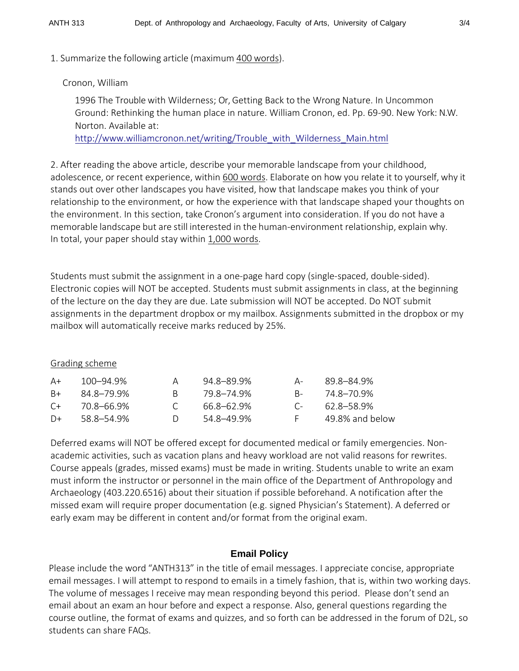1. Summarize the following article (maximum 400 words).

## Cronon, William

1996 The Trouble with Wilderness; Or, Getting Back to the Wrong Nature. In Uncommon Ground: Rethinking the human place in nature. William Cronon, ed. Pp. 69-90. New York: N.W. Norton. Available at:

[http://www.williamcronon.net/writing/Trouble\\_with\\_Wilderness\\_Main.html](http://www.williamcronon.net/writing/Trouble_with_Wilderness_Main.html)

2. After reading the above article, describe your memorable landscape from your childhood, adolescence, or recent experience, within 600 words. Elaborate on how you relate it to yourself, why it stands out over other landscapes you have visited, how that landscape makes you think of your relationship to the environment, or how the experience with that landscape shaped your thoughts on the environment. In this section, take Cronon's argument into consideration. If you do not have a memorable landscape but are still interested in the human-environment relationship, explain why. In total, your paper should stay within 1,000 words.

Students must submit the assignment in a one-page hard copy (single-spaced, double-sided). Electronic copies will NOT be accepted. Students must submit assignments in class, at the beginning of the lecture on the day they are due. Late submission will NOT be accepted. Do NOT submit assignments in the department dropbox or my mailbox. Assignments submitted in the dropbox or my mailbox will automatically receive marks reduced by 25%.

#### Grading scheme

| A+   | 100–94.9%  |        | 94.8–89.9% | $A -$   | 89.8–84.9%      |
|------|------------|--------|------------|---------|-----------------|
| $B+$ | 84.8-79.9% | R.     | 79.8–74.9% | $R_{-}$ | 74.8–70.9%      |
| $C+$ | 70.8–66.9% |        | 66.8–62.9% | C-      | 62.8–58.9%      |
| $D+$ | 58.8–54.9% | $\Box$ | 54 8–49 9% | E.      | 49.8% and below |

Deferred exams will NOT be offered except for documented medical or family emergencies. Nonacademic activities, such as vacation plans and heavy workload are not valid reasons for rewrites. Course appeals (grades, missed exams) must be made in writing. Students unable to write an exam must inform the instructor or personnel in the main office of the Department of Anthropology and Archaeology (403.220.6516) about their situation if possible beforehand. A notification after the missed exam will require proper documentation (e.g. signed Physician's Statement). A deferred or early exam may be different in content and/or format from the original exam.

## **Email Policy**

Please include the word "ANTH313" in the title of email messages. I appreciate concise, appropriate email messages. I will attempt to respond to emails in a timely fashion, that is, within two working days. The volume of messages I receive may mean responding beyond this period. Please don't send an email about an exam an hour before and expect a response. Also, general questions regarding the course outline, the format of exams and quizzes, and so forth can be addressed in the forum of D2L, so students can share FAQs.